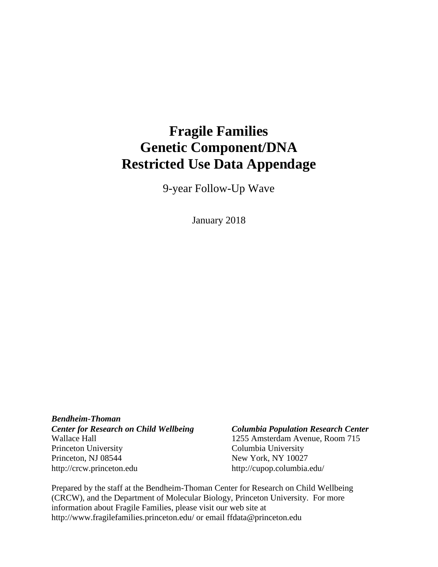# **Fragile Families Genetic Component/DNA Restricted Use Data Appendage**

9-year Follow-Up Wave

January 2018

*Bendheim-Thoman Center for Research on Child Wellbeing Columbia Population Research Center* Wallace Hall 1255 Amsterdam Avenue, Room 715 Princeton University Columbia University Princeton, NJ 08544 New York, NY 10027 http://crcw.princeton.edu http://cupop.columbia.edu/

Prepared by the staff at the Bendheim-Thoman Center for Research on Child Wellbeing (CRCW), and the Department of Molecular Biology, Princeton University. For more information about Fragile Families, please visit our web site at http://www.fragilefamilies.princeton.edu/ or email ffdata@princeton.edu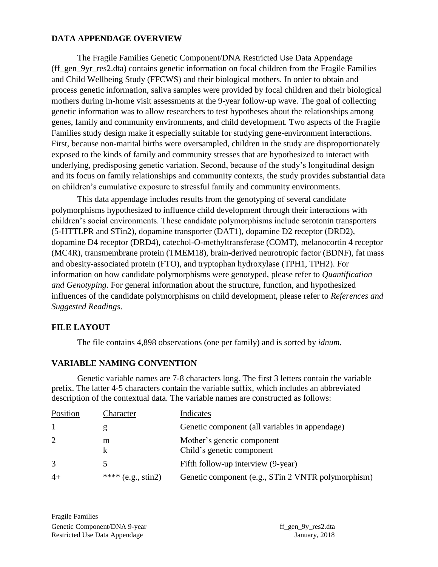#### **DATA APPENDAGE OVERVIEW**

The Fragile Families Genetic Component/DNA Restricted Use Data Appendage (ff\_gen\_9yr\_res2.dta) contains genetic information on focal children from the Fragile Families and Child Wellbeing Study (FFCWS) and their biological mothers. In order to obtain and process genetic information, saliva samples were provided by focal children and their biological mothers during in-home visit assessments at the 9-year follow-up wave. The goal of collecting genetic information was to allow researchers to test hypotheses about the relationships among genes, family and community environments, and child development. Two aspects of the Fragile Families study design make it especially suitable for studying gene-environment interactions. First, because non-marital births were oversampled, children in the study are disproportionately exposed to the kinds of family and community stresses that are hypothesized to interact with underlying, predisposing genetic variation. Second, because of the study's longitudinal design and its focus on family relationships and community contexts, the study provides substantial data on children's cumulative exposure to stressful family and community environments.

This data appendage includes results from the genotyping of several candidate polymorphisms hypothesized to influence child development through their interactions with children's social environments. These candidate polymorphisms include serotonin transporters (5-HTTLPR and STin2), dopamine transporter (DAT1), dopamine D2 receptor (DRD2), dopamine D4 receptor (DRD4), catechol-O-methyltransferase (COMT), melanocortin 4 receptor (MC4R), transmembrane protein (TMEM18), brain-derived neurotropic factor (BDNF), fat mass and obesity-associated protein (FTO), and tryptophan hydroxylase (TPH1, TPH2). For information on how candidate polymorphisms were genotyped, please refer to *Quantification and Genotyping*. For general information about the structure, function, and hypothesized influences of the candidate polymorphisms on child development, please refer to *References and Suggested Readings*.

#### **FILE LAYOUT**

The file contains 4,898 observations (one per family) and is sorted by *idnum.*

#### **VARIABLE NAMING CONVENTION**

Genetic variable names are 7-8 characters long. The first 3 letters contain the variable prefix. The latter 4-5 characters contain the variable suffix, which includes an abbreviated description of the contextual data. The variable names are constructed as follows:

| Position       | Character             | Indicates                                               |
|----------------|-----------------------|---------------------------------------------------------|
|                | g                     | Genetic component (all variables in appendage)          |
| $\overline{2}$ | m<br>k                | Mother's genetic component<br>Child's genetic component |
| 3              | 5                     | Fifth follow-up interview (9-year)                      |
| $4+$           | **** $(e.g., \sin 2)$ | Genetic component (e.g., STin 2 VNTR polymorphism)      |

Fragile Families Genetic Component/DNA 9-year ff\_gen\_9y\_res2.dta Restricted Use Data Appendage January, 2018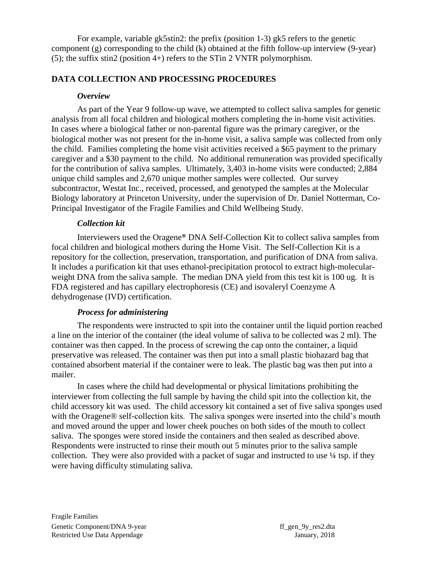For example, variable gk5stin2: the prefix (position 1-3) gk5 refers to the genetic component (g) corresponding to the child (k) obtained at the fifth follow-up interview (9-year) (5); the suffix stin2 (position 4+) refers to the STin 2 VNTR polymorphism.

### **DATA COLLECTION AND PROCESSING PROCEDURES**

#### *Overview*

As part of the Year 9 follow-up wave, we attempted to collect saliva samples for genetic analysis from all focal children and biological mothers completing the in-home visit activities. In cases where a biological father or non-parental figure was the primary caregiver, or the biological mother was not present for the in-home visit, a saliva sample was collected from only the child. Families completing the home visit activities received a \$65 payment to the primary caregiver and a \$30 payment to the child. No additional remuneration was provided specifically for the contribution of saliva samples. Ultimately, 3,403 in-home visits were conducted; 2,884 unique child samples and 2,670 unique mother samples were collected. Our survey subcontractor, Westat Inc., received, processed, and genotyped the samples at the Molecular Biology laboratory at Princeton University, under the supervision of Dr. Daniel Notterman, Co-Principal Investigator of the Fragile Families and Child Wellbeing Study.

#### *Collection kit*

Interviewers used the Oragene® DNA Self-Collection Kit to collect saliva samples from focal children and biological mothers during the Home Visit. The Self-Collection Kit is a repository for the collection, preservation, transportation, and purification of DNA from saliva. It includes a purification kit that uses ethanol-precipitation protocol to extract high-molecularweight DNA from the saliva sample. The median DNA yield from this test kit is 100 ug. It is FDA registered and has capillary electrophoresis (CE) and isovaleryl Coenzyme A dehydrogenase (IVD) certification.

#### *Process for administering*

The respondents were instructed to spit into the container until the liquid portion reached a line on the interior of the container (the ideal volume of saliva to be collected was 2 ml). The container was then capped. In the process of screwing the cap onto the container, a liquid preservative was released. The container was then put into a small plastic biohazard bag that contained absorbent material if the container were to leak. The plastic bag was then put into a mailer.

In cases where the child had developmental or physical limitations prohibiting the interviewer from collecting the full sample by having the child spit into the collection kit, the child accessory kit was used. The child accessory kit contained a set of five saliva sponges used with the Oragene® self-collection kits. The saliva sponges were inserted into the child's mouth and moved around the upper and lower cheek pouches on both sides of the mouth to collect saliva. The sponges were stored inside the containers and then sealed as described above. Respondents were instructed to rinse their mouth out 5 minutes prior to the saliva sample collection. They were also provided with a packet of sugar and instructed to use  $\frac{1}{4}$  tsp. if they were having difficulty stimulating saliva.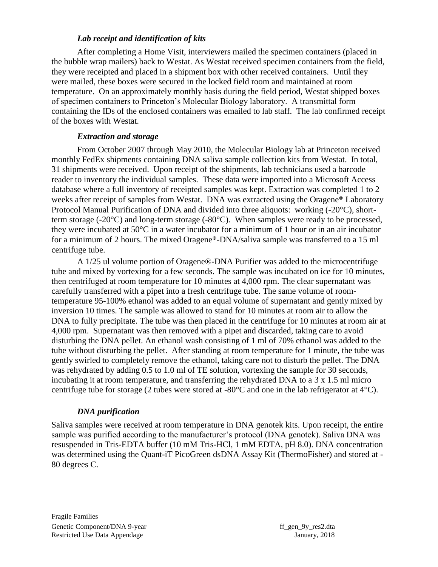#### *Lab receipt and identification of kits*

After completing a Home Visit, interviewers mailed the specimen containers (placed in the bubble wrap mailers) back to Westat. As Westat received specimen containers from the field, they were receipted and placed in a shipment box with other received containers. Until they were mailed, these boxes were secured in the locked field room and maintained at room temperature. On an approximately monthly basis during the field period, Westat shipped boxes of specimen containers to Princeton's Molecular Biology laboratory. A transmittal form containing the IDs of the enclosed containers was emailed to lab staff. The lab confirmed receipt of the boxes with Westat.

#### *Extraction and storage*

From October 2007 through May 2010, the Molecular Biology lab at Princeton received monthly FedEx shipments containing DNA saliva sample collection kits from Westat. In total, 31 shipments were received. Upon receipt of the shipments, lab technicians used a barcode reader to inventory the individual samples. These data were imported into a Microsoft Access database where a full inventory of receipted samples was kept. Extraction was completed 1 to 2 weeks after receipt of samples from Westat. DNA was extracted using the Oragene® Laboratory Protocol Manual Purification of DNA and divided into three aliquots: working (-20°C), shortterm storage (-20°C) and long-term storage (-80°C). When samples were ready to be processed, they were incubated at 50°C in a water incubator for a minimum of 1 hour or in an air incubator for a minimum of 2 hours. The mixed Oragene®-DNA/saliva sample was transferred to a 15 ml centrifuge tube.

A 1/25 ul volume portion of Oragene®-DNA Purifier was added to the microcentrifuge tube and mixed by vortexing for a few seconds. The sample was incubated on ice for 10 minutes, then centrifuged at room temperature for 10 minutes at 4,000 rpm. The clear supernatant was carefully transferred with a pipet into a fresh centrifuge tube. The same volume of roomtemperature 95-100% ethanol was added to an equal volume of supernatant and gently mixed by inversion 10 times. The sample was allowed to stand for 10 minutes at room air to allow the DNA to fully precipitate. The tube was then placed in the centrifuge for 10 minutes at room air at 4,000 rpm. Supernatant was then removed with a pipet and discarded, taking care to avoid disturbing the DNA pellet. An ethanol wash consisting of 1 ml of 70% ethanol was added to the tube without disturbing the pellet. After standing at room temperature for 1 minute, the tube was gently swirled to completely remove the ethanol, taking care not to disturb the pellet. The DNA was rehydrated by adding 0.5 to 1.0 ml of TE solution, vortexing the sample for 30 seconds, incubating it at room temperature, and transferring the rehydrated DNA to a 3 x 1.5 ml micro centrifuge tube for storage (2 tubes were stored at -80°C and one in the lab refrigerator at 4°C).

#### *DNA purification*

Saliva samples were received at room temperature in DNA genotek kits. Upon receipt, the entire sample was purified according to the manufacturer's protocol (DNA genotek). Saliva DNA was resuspended in Tris-EDTA buffer (10 mM Tris-HCl, 1 mM EDTA, pH 8.0). DNA concentration was determined using the Quant-iT PicoGreen dsDNA Assay Kit (ThermoFisher) and stored at - 80 degrees C.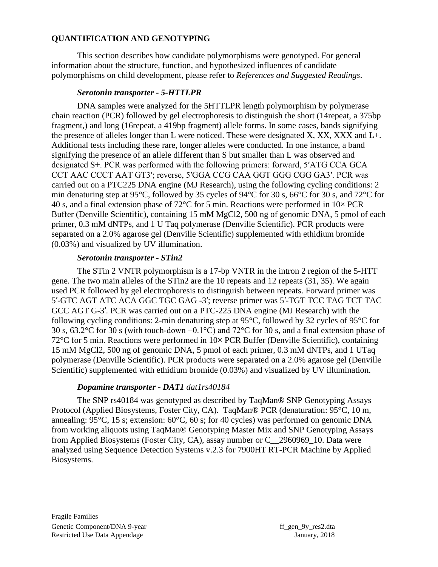#### **QUANTIFICATION AND GENOTYPING**

This section describes how candidate polymorphisms were genotyped. For general information about the structure, function, and hypothesized influences of candidate polymorphisms on child development, please refer to *References and Suggested Readings*.

#### *Serotonin transporter - 5-HTTLPR*

DNA samples were analyzed for the 5HTTLPR length polymorphism by polymerase chain reaction (PCR) followed by gel electrophoresis to distinguish the short (14repeat, a 375bp fragment,) and long (16repeat, a 419bp fragment) allele forms. In some cases, bands signifying the presence of alleles longer than L were noticed. These were designated X, XX, XXX and L+. Additional tests including these rare, longer alleles were conducted. In one instance, a band signifying the presence of an allele different than S but smaller than L was observed and designated S+. PCR was performed with the following primers: forward, 5′ATG CCA GCA CCT AAC CCCT AAT GT3′; reverse, 5′GGA CCG CAA GGT GGG CGG GA3′. PCR was carried out on a PTC225 DNA engine (MJ Research), using the following cycling conditions: 2 min denaturing step at 95°C, followed by 35 cycles of 94°C for 30 s, 66°C for 30 s, and 72°C for 40 s, and a final extension phase of 72 $\degree$ C for 5 min. Reactions were performed in 10 $\times$  PCR Buffer (Denville Scientific), containing 15 mM MgCl2, 500 ng of genomic DNA, 5 pmol of each primer, 0.3 mM dNTPs, and 1 U Taq polymerase (Denville Scientific). PCR products were separated on a 2.0% agarose gel (Denville Scientific) supplemented with ethidium bromide (0.03%) and visualized by UV illumination.

#### *Serotonin transporter - STin2*

The STin 2 VNTR polymorphism is a 17-bp VNTR in the intron 2 region of the 5-HTT gene. The two main alleles of the STin2 are the 10 repeats and 12 repeats (31, 35). We again used PCR followed by gel electrophoresis to distinguish between repeats. Forward primer was 5′-GTC AGT ATC ACA GGC TGC GAG -3′; reverse primer was 5′-TGT TCC TAG TCT TAC GCC AGT G-3′. PCR was carried out on a PTC-225 DNA engine (MJ Research) with the following cycling conditions: 2-min denaturing step at 95°C, followed by 32 cycles of 95°C for 30 s, 63.2°C for 30 s (with touch-down −0.1°C) and 72°C for 30 s, and a final extension phase of 72 $\degree$ C for 5 min. Reactions were performed in 10 $\times$  PCR Buffer (Denville Scientific), containing 15 mM MgCl2, 500 ng of genomic DNA, 5 pmol of each primer, 0.3 mM dNTPs, and 1 UTaq polymerase (Denville Scientific). PCR products were separated on a 2.0% agarose gel (Denville Scientific) supplemented with ethidium bromide (0.03%) and visualized by UV illumination.

#### *Dopamine transporter - DAT1 dat1rs40184*

The SNP rs40184 was genotyped as described by TaqMan® SNP Genotyping Assays Protocol (Applied Biosystems, Foster City, CA). TaqMan® PCR (denaturation: 95°C, 10 m, annealing: 95°C, 15 s; extension: 60°C, 60 s; for 40 cycles) was performed on genomic DNA from working aliquots using TaqMan® Genotyping Master Mix and SNP Genotyping Assays from Applied Biosystems (Foster City, CA), assay number or C\_\_2960969\_10. Data were analyzed using Sequence Detection Systems v.2.3 for 7900HT RT-PCR Machine by Applied Biosystems.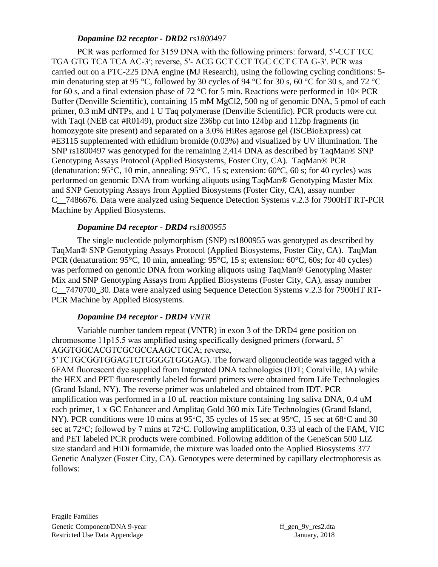#### *Dopamine D2 receptor - DRD2 rs1800497*

PCR was performed for 3159 DNA with the following primers: forward, 5′-CCT TCC TGA GTG TCA TCA AC-3′; reverse, 5′- ACG GCT CCT TGC CCT CTA G-3′. PCR was carried out on a PTC-225 DNA engine (MJ Research), using the following cycling conditions: 5 min denaturing step at 95 °C, followed by 30 cycles of 94 °C for 30 s, 60 °C for 30 s, and 72 °C for 60 s, and a final extension phase of 72 °C for 5 min. Reactions were performed in  $10\times$  PCR Buffer (Denville Scientific), containing 15 mM MgCl2, 500 ng of genomic DNA, 5 pmol of each primer, 0.3 mM dNTPs, and 1 U Taq polymerase (Denville Scientific). PCR products were cut with TaqI (NEB cat #R0149), product size 236bp cut into 124bp and 112bp fragments (in homozygote site present) and separated on a 3.0% HiRes agarose gel (ISCBioExpress) cat #E3115 supplemented with ethidium bromide (0.03%) and visualized by UV illumination. The SNP rs1800497 was genotyped for the remaining 2,414 DNA as described by TaqMan® SNP Genotyping Assays Protocol (Applied Biosystems, Foster City, CA). TaqMan® PCR (denaturation: 95 $\degree$ C, 10 min, annealing: 95 $\degree$ C, 15 s; extension: 60 $\degree$ C, 60 s; for 40 cycles) was performed on genomic DNA from working aliquots using TaqMan® Genotyping Master Mix and SNP Genotyping Assays from Applied Biosystems (Foster City, CA), assay number C\_\_7486676. Data were analyzed using Sequence Detection Systems v.2.3 for 7900HT RT-PCR Machine by Applied Biosystems.

#### *Dopamine D4 receptor* **-** *DRD4 rs1800955*

The single nucleotide polymorphism (SNP) rs1800955 was genotyped as described by TaqMan® SNP Genotyping Assays Protocol (Applied Biosystems, Foster City, CA). TaqMan PCR (denaturation: 95°C, 10 min, annealing: 95°C, 15 s; extension: 60°C, 60s; for 40 cycles) was performed on genomic DNA from working aliquots using TaqMan® Genotyping Master Mix and SNP Genotyping Assays from Applied Biosystems (Foster City, CA), assay number C\_\_7470700\_30. Data were analyzed using Sequence Detection Systems v.2.3 for 7900HT RT-PCR Machine by Applied Biosystems.

#### *Dopamine D4 receptor* **-** *DRD4 VNTR*

Variable number tandem repeat (VNTR) in exon 3 of the DRD4 gene position on chromosome 11p15.5 was amplified using specifically designed primers (forward, 5' AGGTGGCACGTCGCGCCAAGCTGCA; reverse,

5'TCTGCGGTGGAGTCTGGGGTGGGAG). The forward oligonucleotide was tagged with a 6FAM fluorescent dye supplied from Integrated DNA technologies (IDT; Coralville, IA) while the HEX and PET fluorescently labeled forward primers were obtained from Life Technologies (Grand Island, NY). The reverse primer was unlabeled and obtained from IDT. PCR amplification was performed in a 10 uL reaction mixture containing 1ng saliva DNA, 0.4 uM each primer, 1 x GC Enhancer and Amplitaq Gold 360 mix Life Technologies (Grand Island, NY). PCR conditions were 10 mins at 95 $\degree$ C, 35 cycles of 15 sec at 95 $\degree$ C, 15 sec at 68 $\degree$ C and 30 sec at 72 $\degree$ C; followed by 7 mins at 72 $\degree$ C. Following amplification, 0.33 ul each of the FAM, VIC and PET labeled PCR products were combined. Following addition of the GeneScan 500 LIZ size standard and HiDi formamide, the mixture was loaded onto the Applied Biosystems 377 Genetic Analyzer (Foster City, CA). Genotypes were determined by capillary electrophoresis as follows: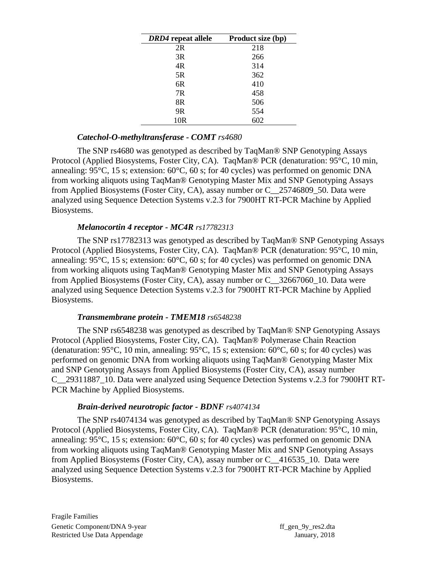| DRD4 repeat allele | Product size (bp) |
|--------------------|-------------------|
| 2R                 | 218               |
| 3R                 | 266               |
| 4R                 | 314               |
| 5R                 | 362               |
| 6R                 | 410               |
| 7R                 | 458               |
| 8R                 | 506               |
| 9 <sub>R</sub>     | 554               |
| 10 <sub>R</sub>    | 602               |

#### *Catechol-O-methyltransferase - COMT rs4680*

The SNP rs4680 was genotyped as described by TaqMan® SNP Genotyping Assays Protocol (Applied Biosystems, Foster City, CA). TaqMan® PCR (denaturation: 95°C, 10 min, annealing: 95°C, 15 s; extension: 60°C, 60 s; for 40 cycles) was performed on genomic DNA from working aliquots using TaqMan® Genotyping Master Mix and SNP Genotyping Assays from Applied Biosystems (Foster City, CA), assay number or C\_\_25746809\_50. Data were analyzed using Sequence Detection Systems v.2.3 for 7900HT RT-PCR Machine by Applied Biosystems.

#### *Melanocortin 4 receptor - MC4R rs17782313*

The SNP rs17782313 was genotyped as described by TaqMan® SNP Genotyping Assays Protocol (Applied Biosystems, Foster City, CA). TaqMan® PCR (denaturation: 95°C, 10 min, annealing: 95°C, 15 s; extension: 60°C, 60 s; for 40 cycles) was performed on genomic DNA from working aliquots using TaqMan® Genotyping Master Mix and SNP Genotyping Assays from Applied Biosystems (Foster City, CA), assay number or C\_\_32667060\_10. Data were analyzed using Sequence Detection Systems v.2.3 for 7900HT RT-PCR Machine by Applied Biosystems.

#### *Transmembrane protein - TMEM18 rs6548238*

The SNP rs6548238 was genotyped as described by TaqMan® SNP Genotyping Assays Protocol (Applied Biosystems, Foster City, CA). TaqMan® Polymerase Chain Reaction (denaturation:  $95^{\circ}$ C, 10 min, annealing:  $95^{\circ}$ C, 15 s; extension:  $60^{\circ}$ C, 60 s; for 40 cycles) was performed on genomic DNA from working aliquots using TaqMan® Genotyping Master Mix and SNP Genotyping Assays from Applied Biosystems (Foster City, CA), assay number C\_\_29311887\_10. Data were analyzed using Sequence Detection Systems v.2.3 for 7900HT RT-PCR Machine by Applied Biosystems.

#### *Brain-derived neurotropic factor - BDNF rs4074134*

The SNP rs4074134 was genotyped as described by TaqMan® SNP Genotyping Assays Protocol (Applied Biosystems, Foster City, CA). TaqMan® PCR (denaturation: 95°C, 10 min, annealing: 95°C, 15 s; extension: 60°C, 60 s; for 40 cycles) was performed on genomic DNA from working aliquots using TaqMan® Genotyping Master Mix and SNP Genotyping Assays from Applied Biosystems (Foster City, CA), assay number or C\_\_416535\_10. Data were analyzed using Sequence Detection Systems v.2.3 for 7900HT RT-PCR Machine by Applied Biosystems.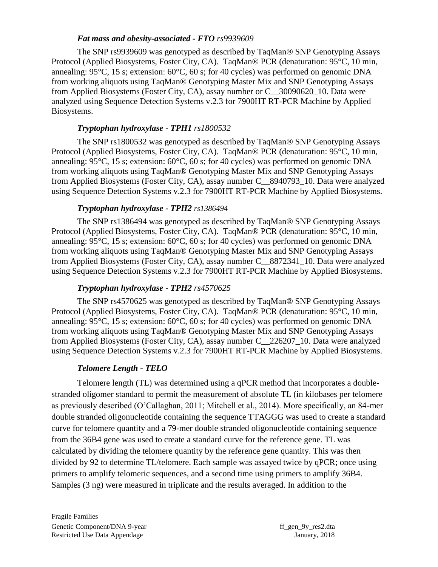#### *Fat mass and obesity-associated - FTO rs9939609*

The SNP rs9939609 was genotyped as described by TaqMan® SNP Genotyping Assays Protocol (Applied Biosystems, Foster City, CA). TaqMan® PCR (denaturation: 95°C, 10 min, annealing: 95°C, 15 s; extension: 60°C, 60 s; for 40 cycles) was performed on genomic DNA from working aliquots using TaqMan® Genotyping Master Mix and SNP Genotyping Assays from Applied Biosystems (Foster City, CA), assay number or C\_\_30090620\_10. Data were analyzed using Sequence Detection Systems v.2.3 for 7900HT RT-PCR Machine by Applied Biosystems.

#### *Tryptophan hydroxylase - TPH1 rs1800532*

The SNP rs1800532 was genotyped as described by TaqMan® SNP Genotyping Assays Protocol (Applied Biosystems, Foster City, CA). TaqMan® PCR (denaturation: 95°C, 10 min, annealing: 95°C, 15 s; extension: 60°C, 60 s; for 40 cycles) was performed on genomic DNA from working aliquots using TaqMan® Genotyping Master Mix and SNP Genotyping Assays from Applied Biosystems (Foster City, CA), assay number C\_\_8940793\_10. Data were analyzed using Sequence Detection Systems v.2.3 for 7900HT RT-PCR Machine by Applied Biosystems.

#### *Tryptophan hydroxylase - TPH2 rs1386494*

The SNP rs1386494 was genotyped as described by TaqMan® SNP Genotyping Assays Protocol (Applied Biosystems, Foster City, CA). TaqMan® PCR (denaturation: 95°C, 10 min, annealing: 95°C, 15 s; extension: 60°C, 60 s; for 40 cycles) was performed on genomic DNA from working aliquots using TaqMan® Genotyping Master Mix and SNP Genotyping Assays from Applied Biosystems (Foster City, CA), assay number C\_\_8872341\_10. Data were analyzed using Sequence Detection Systems v.2.3 for 7900HT RT-PCR Machine by Applied Biosystems.

### *Tryptophan hydroxylase - TPH2 rs4570625*

The SNP rs4570625 was genotyped as described by TaqMan® SNP Genotyping Assays Protocol (Applied Biosystems, Foster City, CA). TaqMan® PCR (denaturation: 95°C, 10 min, annealing: 95°C, 15 s; extension: 60°C, 60 s; for 40 cycles) was performed on genomic DNA from working aliquots using TaqMan® Genotyping Master Mix and SNP Genotyping Assays from Applied Biosystems (Foster City, CA), assay number C\_\_226207\_10. Data were analyzed using Sequence Detection Systems v.2.3 for 7900HT RT-PCR Machine by Applied Biosystems.

## *Telomere Length - TELO*

Telomere length (TL) was determined using a qPCR method that incorporates a doublestranded oligomer standard to permit the measurement of absolute TL (in kilobases per telomere as previously described (O'Callaghan, 2011; Mitchell et al., 2014). More specifically, an 84-mer double stranded oligonucleotide containing the sequence TTAGGG was used to create a standard curve for telomere quantity and a 79-mer double stranded oligonucleotide containing sequence from the 36B4 gene was used to create a standard curve for the reference gene. TL was calculated by dividing the telomere quantity by the reference gene quantity. This was then divided by 92 to determine TL/telomere. Each sample was assayed twice by qPCR; once using primers to amplify telomeric sequences, and a second time using primers to amplify 36B4. Samples (3 ng) were measured in triplicate and the results averaged. In addition to the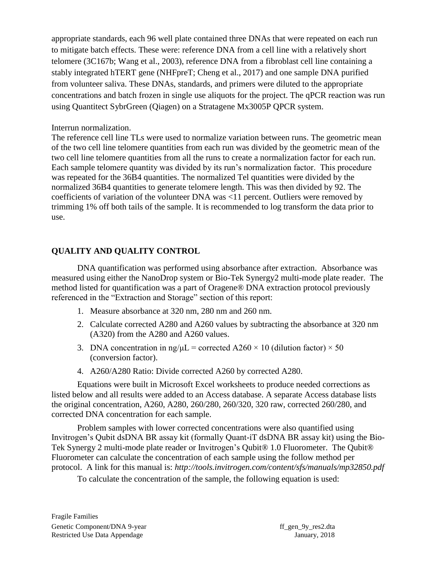appropriate standards, each 96 well plate contained three DNAs that were repeated on each run to mitigate batch effects. These were: reference DNA from a cell line with a relatively short telomere (3C167b; Wang et al., 2003), reference DNA from a fibroblast cell line containing a stably integrated hTERT gene (NHFpreT; Cheng et al., 2017) and one sample DNA purified from volunteer saliva. These DNAs, standards, and primers were diluted to the appropriate concentrations and batch frozen in single use aliquots for the project. The qPCR reaction was run using Quantitect SybrGreen (Qiagen) on a Stratagene Mx3005P QPCR system.

#### Interrun normalization.

The reference cell line TLs were used to normalize variation between runs. The geometric mean of the two cell line telomere quantities from each run was divided by the geometric mean of the two cell line telomere quantities from all the runs to create a normalization factor for each run. Each sample telomere quantity was divided by its run's normalization factor. This procedure was repeated for the 36B4 quantities. The normalized Tel quantities were divided by the normalized 36B4 quantities to generate telomere length. This was then divided by 92. The coefficients of variation of the volunteer DNA was <11 percent. Outliers were removed by trimming 1% off both tails of the sample. It is recommended to log transform the data prior to use.

#### **QUALITY AND QUALITY CONTROL**

DNA quantification was performed using absorbance after extraction. Absorbance was measured using either the NanoDrop system or Bio-Tek Synergy2 multi-mode plate reader. The method listed for quantification was a part of Oragene® DNA extraction protocol previously referenced in the "Extraction and Storage" section of this report:

- 1. Measure absorbance at 320 nm, 280 nm and 260 nm.
- 2. Calculate corrected A280 and A260 values by subtracting the absorbance at 320 nm (A320) from the A280 and A260 values.
- 3. DNA concentration in ng/ $\mu$ L = corrected A260 × 10 (dilution factor) × 50 (conversion factor).
- 4. A260/A280 Ratio: Divide corrected A260 by corrected A280.

Equations were built in Microsoft Excel worksheets to produce needed corrections as listed below and all results were added to an Access database. A separate Access database lists the original concentration, A260, A280, 260/280, 260/320, 320 raw, corrected 260/280, and corrected DNA concentration for each sample.

Problem samples with lower corrected concentrations were also quantified using Invitrogen's Qubit dsDNA BR assay kit (formally Quant-iT dsDNA BR assay kit) using the Bio-Tek Synergy 2 multi-mode plate reader or Invitrogen's Qubit® 1.0 Fluorometer. The Qubit® Fluorometer can calculate the concentration of each sample using the follow method per protocol. A link for this manual is: *<http://tools.invitrogen.com/content/sfs/manuals/mp32850.pdf>*

To calculate the concentration of the sample, the following equation is used: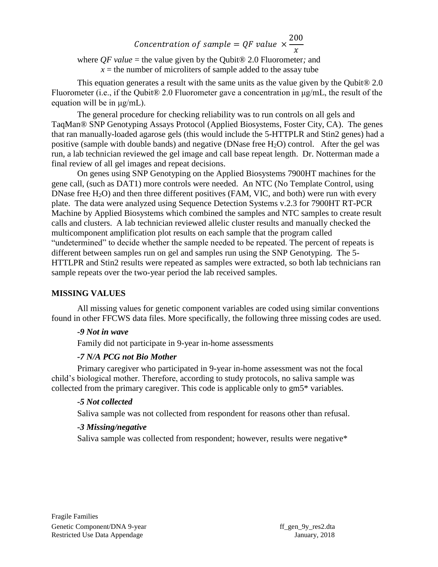#### Concentration of sample =  $QF$  value  $\times$ 200  $\mathcal{X}$

where *QF value* = the value given by the Qubit® 2.0 Fluorometer*;* and  $x =$  the number of microliters of sample added to the assay tube

This equation generates a result with the same units as the value given by the Qubit® 2.0 Fluorometer (i.e., if the Qubit® 2.0 Fluorometer gave a concentration in μg/mL, the result of the equation will be in μg/mL).

The general procedure for checking reliability was to run controls on all gels and TaqMan® SNP Genotyping Assays Protocol (Applied Biosystems, Foster City, CA). The genes that ran manually-loaded agarose gels (this would include the 5-HTTPLR and Stin2 genes) had a positive (sample with double bands) and negative (DNase free  $H_2O$ ) control. After the gel was run, a lab technician reviewed the gel image and call base repeat length. Dr. Notterman made a final review of all gel images and repeat decisions.

On genes using SNP Genotyping on the Applied Biosystems 7900HT machines for the gene call, (such as DAT1) more controls were needed. An NTC (No Template Control, using DNase free  $H_2O$ ) and then three different positives (FAM, VIC, and both) were run with every plate. The data were analyzed using Sequence Detection Systems v.2.3 for 7900HT RT-PCR Machine by Applied Biosystems which combined the samples and NTC samples to create result calls and clusters. A lab technician reviewed allelic cluster results and manually checked the multicomponent amplification plot results on each sample that the program called "undetermined" to decide whether the sample needed to be repeated. The percent of repeats is different between samples run on gel and samples run using the SNP Genotyping. The 5- HTTLPR and Stin2 results were repeated as samples were extracted, so both lab technicians ran sample repeats over the two-year period the lab received samples.

#### **MISSING VALUES**

All missing values for genetic component variables are coded using similar conventions found in other FFCWS data files. More specifically, the following three missing codes are used.

#### *-9 Not in wave*

Family did not participate in 9-year in-home assessments

#### *-7 N/A PCG not Bio Mother*

Primary caregiver who participated in 9-year in-home assessment was not the focal child's biological mother. Therefore, according to study protocols, no saliva sample was collected from the primary caregiver. This code is applicable only to gm5\* variables.

#### *-5 Not collected*

Saliva sample was not collected from respondent for reasons other than refusal.

#### *-3 Missing/negative*

Saliva sample was collected from respondent; however, results were negative\*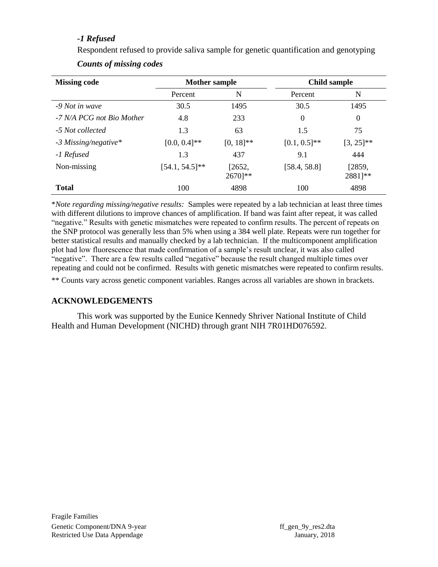#### *-1 Refused*

Respondent refused to provide saliva sample for genetic quantification and genotyping *Counts of missing codes*

| <b>Missing code</b>       | <b>Mother sample</b> |                                | <b>Child sample</b> |                   |
|---------------------------|----------------------|--------------------------------|---------------------|-------------------|
|                           | Percent              | N                              | Percent             | N                 |
| -9 Not in wave            | 30.5                 | 1495                           | 30.5                | 1495              |
| -7 N/A PCG not Bio Mother | 4.8                  | 233                            | $\theta$            | $\overline{0}$    |
| -5 Not collected          | 1.3                  | 63                             | 1.5                 | 75                |
| $-3$ Missing/negative*    | $[0.0, 0.4]$ **      | $[0, 18]$ **                   | $[0.1, 0.5]^{**}$   | $[3, 25]^{**}$    |
| -1 Refused                | 1.3                  | 437                            | 9.1                 | 444               |
| Non-missing               | $[54.1, 54.5]$ **    | [2652,<br>$2670$ <sup>**</sup> | [58.4, 58.8]        | [2859,<br>2881]** |
| <b>Total</b>              | 100                  | 4898                           | 100                 | 4898              |

\**Note regarding missing/negative results:* Samples were repeated by a lab technician at least three times with different dilutions to improve chances of amplification. If band was faint after repeat, it was called "negative." Results with genetic mismatches were repeated to confirm results. The percent of repeats on the SNP protocol was generally less than 5% when using a 384 well plate. Repeats were run together for better statistical results and manually checked by a lab technician. If the multicomponent amplification plot had low fluorescence that made confirmation of a sample's result unclear, it was also called "negative". There are a few results called "negative" because the result changed multiple times over repeating and could not be confirmed. Results with genetic mismatches were repeated to confirm results.

\*\* Counts vary across genetic component variables. Ranges across all variables are shown in brackets.

#### **ACKNOWLEDGEMENTS**

This work was supported by the Eunice Kennedy Shriver National Institute of Child Health and Human Development (NICHD) through grant NIH 7R01HD076592.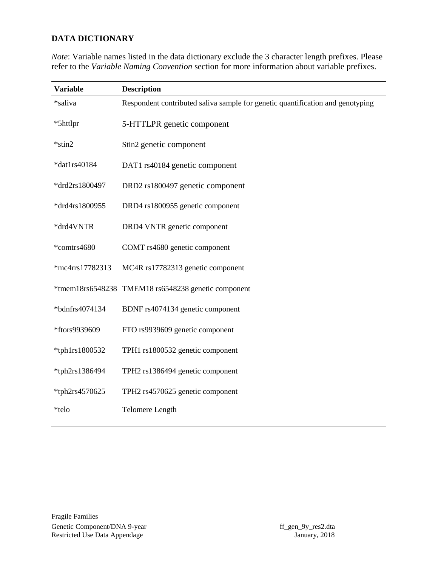#### **DATA DICTIONARY**

| <b>Description</b>                                                             |
|--------------------------------------------------------------------------------|
| Respondent contributed saliva sample for genetic quantification and genotyping |
| 5-HTTLPR genetic component                                                     |
| Stin2 genetic component                                                        |
| DAT1 rs40184 genetic component                                                 |
| DRD2 rs1800497 genetic component                                               |
| DRD4 rs1800955 genetic component                                               |
| DRD4 VNTR genetic component                                                    |
| COMT rs4680 genetic component                                                  |
| MC4R rs17782313 genetic component                                              |
| TMEM18 rs6548238 genetic component                                             |
| BDNF rs4074134 genetic component                                               |
| FTO rs9939609 genetic component                                                |
| TPH1 rs1800532 genetic component                                               |
| TPH2 rs1386494 genetic component                                               |
| TPH2 rs4570625 genetic component                                               |
| <b>Telomere Length</b>                                                         |
|                                                                                |

*Note*: Variable names listed in the data dictionary exclude the 3 character length prefixes. Please refer to the *Variable Naming Convention* section for more information about variable prefixes.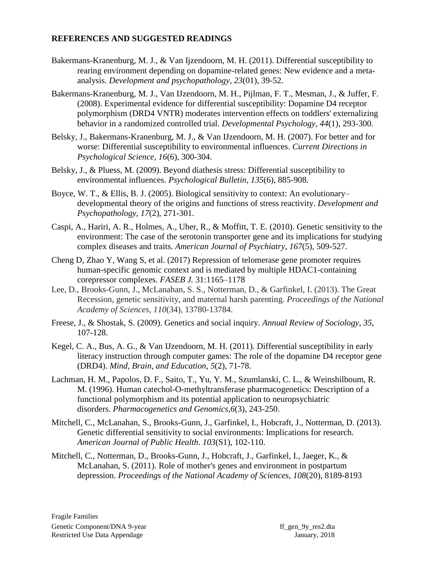#### **REFERENCES AND SUGGESTED READINGS**

- Bakermans-Kranenburg, M. J., & Van Ijzendoorn, M. H. (2011). Differential susceptibility to rearing environment depending on dopamine-related genes: New evidence and a metaanalysis. *Development and psychopathology*, *23*(01), 39-52.
- Bakermans-Kranenburg, M. J., Van IJzendoorn, M. H., Pijlman, F. T., Mesman, J., & Juffer, F. (2008). Experimental evidence for differential susceptibility: Dopamine D4 receptor polymorphism (DRD4 VNTR) moderates intervention effects on toddlers' externalizing behavior in a randomized controlled trial. *Developmental Psychology*, *44*(1), 293-300.
- Belsky, J., Bakermans-Kranenburg, M. J., & Van IJzendoorn, M. H. (2007). For better and for worse: Differential susceptibility to environmental influences. *Current Directions in Psychological Science*, *16*(6), 300-304.
- Belsky, J., & Pluess, M. (2009). Beyond diathesis stress: Differential susceptibility to environmental influences. *Psychological Bulletin*, *135*(6), 885-908.
- Boyce, W. T., & Ellis, B. J. (2005). Biological sensitivity to context: An evolutionary– developmental theory of the origins and functions of stress reactivity. *Development and Psychopathology*, *17*(2), 271-301.
- Caspi, A., Hariri, A. R., Holmes, A., Uher, R., & Moffitt, T. E. (2010). Genetic sensitivity to the environment: The case of the serotonin transporter gene and its implications for studying complex diseases and traits. *American Journal of Psychiatry*, *167*(5), 509-527.
- Cheng D, Zhao Y, Wang S, et al. (2017) Repression of telomerase gene promoter requires human-specific genomic context and is mediated by multiple HDAC1-containing corepressor complexes. *FASEB J.* 31:1165–1178
- Lee, D., Brooks-Gunn, J., McLanahan, S. S., Notterman, D., & Garfinkel, I. (2013). The Great Recession, genetic sensitivity, and maternal harsh parenting. *Proceedings of the National Academy of Sciences*, *110*(34), 13780-13784.
- Freese, J., & Shostak, S. (2009). Genetics and social inquiry. *Annual Review of Sociology*, *35*, 107-128.
- Kegel, C. A., Bus, A. G., & Van IJzendoorn, M. H. (2011). Differential susceptibility in early literacy instruction through computer games: The role of the dopamine D4 receptor gene (DRD4). *Mind, Brain, and Education*, *5*(2), 71-78.
- Lachman, H. M., Papolos, D. F., Saito, T., Yu, Y. M., Szumlanski, C. L., & Weinshilboum, R. M. (1996). Human catechol-O-methyltransferase pharmacogenetics: Description of a functional polymorphism and its potential application to neuropsychiatric disorders. *Pharmacogenetics and Genomics*,*6*(3), 243-250.
- Mitchell, C., McLanahan, S., Brooks-Gunn, J., Garfinkel, I., Hobcraft, J., Notterman, D. (2013). Genetic differential sensitivity to social environments: Implications for research. *American Journal of Public Health*. *103*(S1), 102-110.
- Mitchell, C., Notterman, D., Brooks-Gunn, J., Hobcraft, J., Garfinkel, I., Jaeger, K., & McLanahan, S. (2011). Role of mother's genes and environment in postpartum depression. *Proceedings of the National Academy of Sciences*, *108*(20), 8189-8193